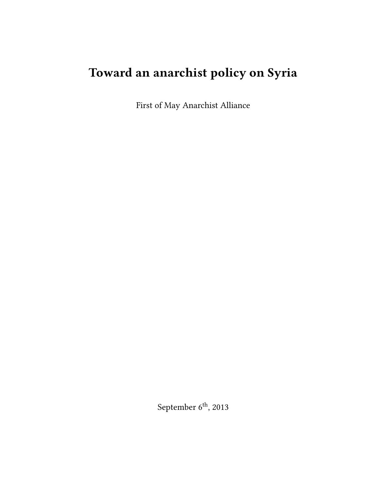# **Toward an anarchist policy on Syria**

First of May Anarchist Alliance

September  $6^{\rm th}$ , 2013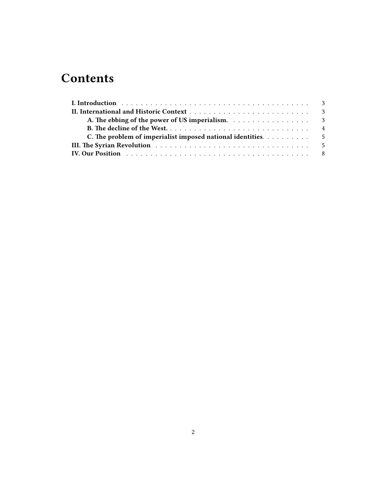## **Contents**

| C. The problem of imperialist imposed national identities. 5                                                                                                                                                                   |  |
|--------------------------------------------------------------------------------------------------------------------------------------------------------------------------------------------------------------------------------|--|
|                                                                                                                                                                                                                                |  |
| IV. Our Position responses a series of the series of the series of the series of the series of the series of the series of the series of the series of the series of the series of the series of the series of the series of t |  |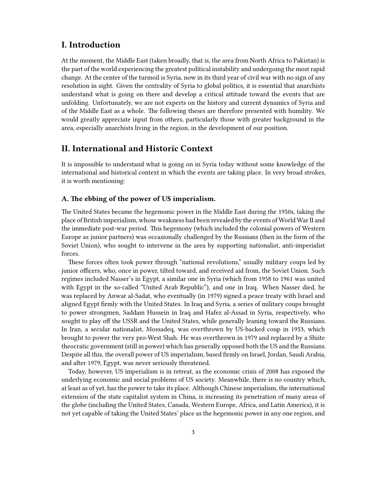## <span id="page-2-0"></span>**I. Introduction**

At the moment, the Middle East (taken broadly, that is, the area from North Africa to Pakistan) is the part of the world experiencing the greatest political instability and undergoing the most rapid change. At the center of the turmoil is Syria, now in its third year of civil war with no sign of any resolution in sight. Given the centrality of Syria to global politics, it is essential that anarchists understand what is going on there and develop a critical attitude toward the events that are unfolding. Unfortunately, we are not experts on the history and current dynamics of Syria and of the Middle East as a whole. The following theses are therefore presented with humility. We would greatly appreciate input from others, particularly those with greater background in the area, especially anarchists living in the region, in the development of our position.

## <span id="page-2-1"></span>**II. International and Historic Context**

It is impossible to understand what is going on in Syria today without some knowledge of the international and historical context in which the events are taking place. In very broad strokes, it is worth mentioning:

### <span id="page-2-2"></span>**A. The ebbing of the power of US imperialism.**

The United States became the hegemonic power in the Middle East during the 1950s, taking the place of British imperialism, whose weakness had been revealed by the events of World War II and the immediate post-war period. This hegemony (which included the colonial powers of Western Europe as junior partners) was occasionally challenged by the Russians (then in the form of the Soviet Union), who sought to intervene in the area by supporting nationalist, anti-imperialist forces.

These forces often took power through "national revolutions," usually military coups led by junior officers, who, once in power, tilted toward, and received aid from, the Soviet Union. Such regimes included Nasser's in Egypt, a similar one in Syria (which from 1958 to 1961 was united with Egypt in the so-called "United Arab Republic"), and one in Iraq. When Nasser died, he was replaced by Anwar al-Sadat, who eventually (in 1979) signed a peace treaty with Israel and aligned Egypt firmly with the United States. In Iraq and Syria, a series of military coups brought to power strongmen, Saddam Hussein in Iraq and Hafez al-Assad in Syria, respectively, who sought to play off the USSR and the United States, while generally leaning toward the Russians. In Iran, a secular nationalist, Mossadeq, was overthrown by US-backed coup in 1953, which brought to power the very pro-West Shah. He was overthrown in 1979 and replaced by a Shiite theocratic government (still in power) which has generally opposed both the US and the Russians. Despite all this, the overall power of US imperialism, based firmly on Israel, Jordan, Saudi Arabia, and after 1979, Egypt, was never seriously threatened.

Today, however, US imperialism is in retreat, as the economic crisis of 2008 has exposed the underlying economic and social problems of US society. Meanwhile, there is no country which, at least as of yet, has the power to take its place. Although Chinese imperialism, the international extension of the state capitalist system in China, is increasing its penetration of many areas of the globe (including the United States, Canada, Western Europe, Africa, and Latin America), it is not yet capable of taking the United States' place as the hegemonic power in any one region, and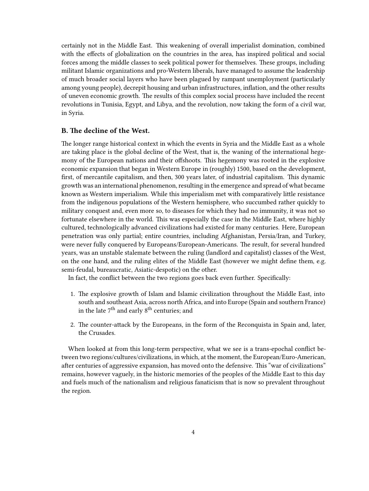certainly not in the Middle East. This weakening of overall imperialist domination, combined with the effects of globalization on the countries in the area, has inspired political and social forces among the middle classes to seek political power for themselves. These groups, including militant Islamic organizations and pro-Western liberals, have managed to assume the leadership of much broader social layers who have been plagued by rampant unemployment (particularly among young people), decrepit housing and urban infrastructures, inflation, and the other results of uneven economic growth. The results of this complex social process have included the recent revolutions in Tunisia, Egypt, and Libya, and the revolution, now taking the form of a civil war, in Syria.

#### <span id="page-3-0"></span>**B. The decline of the West.**

The longer range historical context in which the events in Syria and the Middle East as a whole are taking place is the global decline of the West, that is, the waning of the international hegemony of the European nations and their offshoots. This hegemony was rooted in the explosive economic expansion that began in Western Europe in (roughly) 1500, based on the development, first, of mercantile capitalism, and then, 300 years later, of industrial capitalism. This dynamic growth was an international phenomenon, resulting in the emergence and spread of what became known as Western imperialism. While this imperialism met with comparatively little resistance from the indigenous populations of the Western hemisphere, who succumbed rather quickly to military conquest and, even more so, to diseases for which they had no immunity, it was not so fortunate elsewhere in the world. This was especially the case in the Middle East, where highly cultured, technologically advanced civilizations had existed for many centuries. Here, European penetration was only partial; entire countries, including Afghanistan, Persia/Iran, and Turkey, were never fully conquered by Europeans/European-Americans. The result, for several hundred years, was an unstable stalemate between the ruling (landlord and capitalist) classes of the West, on the one hand, and the ruling elites of the Middle East (however we might define them, e.g. semi-feudal, bureaucratic, Asiatic-despotic) on the other.

In fact, the conflict between the two regions goes back even further. Specifically:

- 1. The explosive growth of Islam and Islamic civilization throughout the Middle East, into south and southeast Asia, across north Africa, and into Europe (Spain and southern France) in the late  $7<sup>th</sup>$  and early  $8<sup>th</sup>$  centuries; and
- 2. The counter-attack by the Europeans, in the form of the Reconquista in Spain and, later, the Crusades.

When looked at from this long-term perspective, what we see is a trans-epochal conflict between two regions/cultures/civilizations, in which, at the moment, the European/Euro-American, after centuries of aggressive expansion, has moved onto the defensive. This "war of civilizations" remains, however vaguely, in the historic memories of the peoples of the Middle East to this day and fuels much of the nationalism and religious fanaticism that is now so prevalent throughout the region.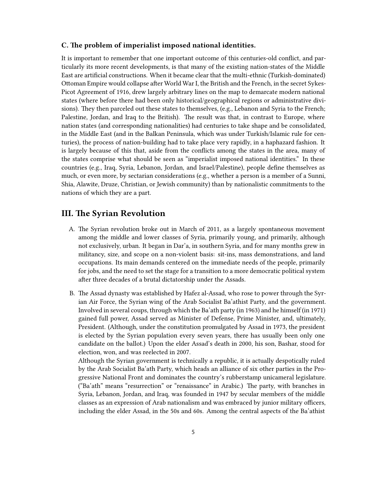#### <span id="page-4-0"></span>**C. The problem of imperialist imposed national identities.**

It is important to remember that one important outcome of this centuries-old conflict, and particularly its more recent developments, is that many of the existing nation-states of the Middle East are artificial constructions. When it became clear that the multi-ethnic (Turkish-dominated) Ottoman Empire would collapse after World War I, the British and the French, in the secret Sykes-Picot Agreement of 1916, drew largely arbitrary lines on the map to demarcate modern national states (where before there had been only historical/geographical regions or administrative divisions). They then parceled out these states to themselves, (e.g., Lebanon and Syria to the French; Palestine, Jordan, and Iraq to the British). The result was that, in contrast to Europe, where nation states (and corresponding nationalities) had centuries to take shape and be consolidated, in the Middle East (and in the Balkan Peninsula, which was under Turkish/Islamic rule for centuries), the process of nation-building had to take place very rapidly, in a haphazard fashion. It is largely because of this that, aside from the conflicts among the states in the area, many of the states comprise what should be seen as "imperialist imposed national identities." In these countries (e.g., Iraq, Syria, Lebanon, Jordan, and Israel/Palestine), people define themselves as much, or even more, by sectarian considerations (e.g., whether a person is a member of a Sunni, Shia, Alawite, Druze, Christian, or Jewish community) than by nationalistic commitments to the nations of which they are a part.

## <span id="page-4-1"></span>**III. The Syrian Revolution**

- A. The Syrian revolution broke out in March of 2011, as a largely spontaneous movement among the middle and lower classes of Syria, primarily young, and primarily, although not exclusively, urban. It began in Dar'a, in southern Syria, and for many months grew in militancy, size, and scope on a non-violent basis: sit-ins, mass demonstrations, and land occupations. Its main demands centered on the immediate needs of the people, primarily for jobs, and the need to set the stage for a transition to a more democratic political system after three decades of a brutal dictatorship under the Assads.
- B. The Assad dynasty was established by Hafez al-Assad, who rose to power through the Syrian Air Force, the Syrian wing of the Arab Socialist Ba'athist Party, and the government. Involved in several coups, through which the Ba'ath party (in 1963) and he himself (in 1971) gained full power, Assad served as Minister of Defense, Prime Minister, and, ultimately, President. (Although, under the constitution promulgated by Assad in 1973, the president is elected by the Syrian population every seven years, there has usually been only one candidate on the ballot.) Upon the elder Assad's death in 2000, his son, Bashar, stood for election, won, and was reelected in 2007.

Although the Syrian government is technically a republic, it is actually despotically ruled by the Arab Socialist Ba'ath Party, which heads an alliance of six other parties in the Progressive National Front and dominates the country's rubberstamp unicameral legislature. ("Ba'ath" means "resurrection" or "renaissance" in Arabic.) The party, with branches in Syria, Lebanon, Jordan, and Iraq, was founded in 1947 by secular members of the middle classes as an expression of Arab nationalism and was embraced by junior military officers, including the elder Assad, in the 50s and 60s. Among the central aspects of the Ba'athist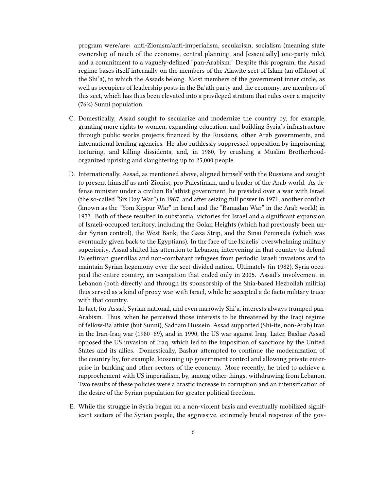program were/are: anti-Zionism/anti-imperialism, secularism, socialism (meaning state ownership of much of the economy, central planning, and [essentially] one-party rule), and a commitment to a vaguely-defined "pan-Arabism." Despite this program, the Assad regime bases itself internally on the members of the Alawite sect of Islam (an offshoot of the Shi'a), to which the Assads belong. Most members of the government inner circle, as well as occupiers of leadership posts in the Ba'ath party and the economy, are members of this sect, which has thus been elevated into a privileged stratum that rules over a majority (76%) Sunni population.

- C. Domestically, Assad sought to secularize and modernize the country by, for example, granting more rights to women, expanding education, and building Syria's infrastructure through public works projects financed by the Russians, other Arab governments, and international lending agencies. He also ruthlessly suppressed opposition by imprisoning, torturing, and killing dissidents, and, in 1980, by crushing a Muslim Brotherhoodorganized uprising and slaughtering up to 25,000 people.
- D. Internationally, Assad, as mentioned above, aligned himself with the Russians and sought to present himself as anti-Zionist, pro-Palestinian, and a leader of the Arab world. As defense minister under a civilian Ba'athist government, he presided over a war with Israel (the so-called "Six Day War") in 1967, and after seizing full power in 1971, another conflict (known as the "Yom Kippur War" in Israel and the "Ramadan War" in the Arab world) in 1973. Both of these resulted in substantial victories for Israel and a significant expansion of Israeli-occupied territory, including the Golan Heights (which had previously been under Syrian control), the West Bank, the Gaza Strip, and the Sinai Peninsula (which was eventually given back to the Egyptians). In the face of the Israelis' overwhelming military superiority, Assad shifted his attention to Lebanon, intervening in that country to defend Palestinian guerrillas and non-combatant refugees from periodic Israeli invasions and to maintain Syrian hegemony over the sect-divided nation. Ultimately (in 1982), Syria occupied the entire country, an occupation that ended only in 2005. Assad's involvement in Lebanon (both directly and through its sponsorship of the Shia-based Hezbollah militia) thus served as a kind of proxy war with Israel, while he accepted a de facto military truce with that country.

In fact, for Assad, Syrian national, and even narrowly Shi'a, interests always trumped pan-Arabism. Thus, when he perceived those interests to be threatened by the Iraqi regime of fellow-Ba'athist (but Sunni), Saddam Hussein, Assad supported (Shi-ite, non-Arab) Iran in the Iran-Iraq war (1980–89), and in 1990, the US war against Iraq. Later, Bashar Assad opposed the US invasion of Iraq, which led to the imposition of sanctions by the United States and its allies. Domestically, Bashar attempted to continue the modernization of the country by, for example, loosening up government control and allowing private enterprise in banking and other sectors of the economy. More recently, he tried to achieve a rapprochement with US imperialism, by, among other things, withdrawing from Lebanon. Two results of these policies were a drastic increase in corruption and an intensification of the desire of the Syrian population for greater political freedom.

E. While the struggle in Syria began on a non-violent basis and eventually mobilized significant sectors of the Syrian people, the aggressive, extremely brutal response of the gov-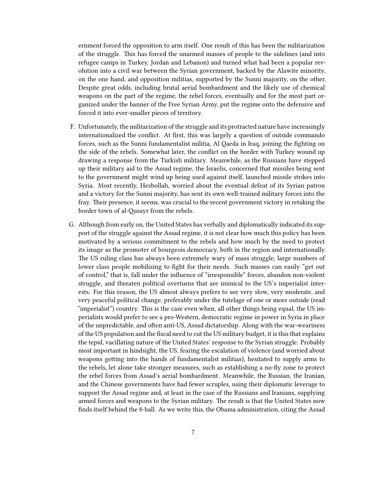ernment forced the opposition to arm itself. One result of this has been the militarization of the struggle. This has forced the unarmed masses of people to the sidelines (and into refugee camps in Turkey, Jordan and Lebanon) and turned what had been a popular revolution into a civil war between the Syrian government, backed by the Alawite minority, on the one hand, and opposition militias, supported by the Sunni majority, on the other. Despite great odds, including brutal aerial bombardment and the likely use of chemical weapons on the part of the regime, the rebel forces, eventually and for the most part organized under the banner of the Free Syrian Army, put the regime onto the defensive and forced it into ever-smaller pieces of territory.

- F. Unfortunately, the militarization of the struggle and its protracted nature have increasingly internationalized the conflict. At first, this was largely a question of outside commando forces, such as the Sunni fundamentalist militia, Al Qaeda in Iraq, joining the fighting on the side of the rebels. Somewhat later, the conflict on the border with Turkey wound up drawing a response from the Turkish military. Meanwhile, as the Russians have stepped up their military aid to the Assad regime, the Israelis, concerned that missiles being sent to the government might wind up being used against itself, launched missile strikes into Syria. Most recently, Hezbollah, worried about the eventual defeat of its Syrian patron and a victory for the Sunni majority, has sent its own well-trained military forces into the fray. Their presence, it seems, was crucial to the recent government victory in retaking the border town of al-Qusayr from the rebels.
- G. Although from early on, the United States has verbally and diplomatically indicated its support of the struggle against the Assad regime, it is not clear how much this policy has been motivated by a serious commitment to the rebels and how much by the need to protect its image as the promoter of bourgeois democracy, both in the region and internationally. The US ruling class has always been extremely wary of mass struggle, large numbers of lower class people mobilizing to fight for their needs. Such masses can easily "get out of control," that is, fall under the influence of "irresponsible" forces, abandon non-violent struggle, and threaten political overturns that are inimical to the US's imperialist interests. For this reason, the US almost always prefers to see very slow, very moderate, and very peaceful political change, preferably under the tutelage of one or more outside (read "imperialist") country. This is the case even when, all other things being equal, the US imperialists would prefer to see a pro-Western, democratic regime in power in Syria in place of the unpredictable, and often anti-US, Assad dictatorship. Along with the war-weariness of the US population and the fiscal need to cut the US military budget, it is this that explains the tepid, vacillating nature of the United States' response to the Syrian struggle. Probably most important in hindsight, the US, fearing the escalation of violence (and worried about weapons getting into the hands of fundamentalist militias), hesitated to supply arms to the rebels, let alone take stronger measures, such as establishing a no-fly zone to protect the rebel forces from Assad's aerial bombardment. Meanwhile, the Russian, the Iranian, and the Chinese governments have had fewer scruples, using their diplomatic leverage to support the Assad regime and, at least in the case of the Russians and Iranians, supplying armed forces and weapons to the Syrian military. The result is that the United States now finds itself behind the 8-ball. As we write this, the Obama administration, citing the Assad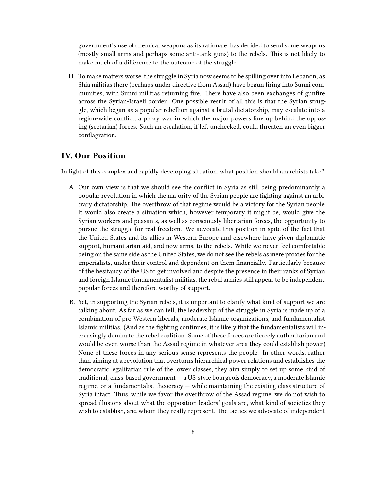government's use of chemical weapons as its rationale, has decided to send some weapons (mostly small arms and perhaps some anti-tank guns) to the rebels. This is not likely to make much of a difference to the outcome of the struggle.

H. To make matters worse, the struggle in Syria now seems to be spilling over into Lebanon, as Shia militias there (perhaps under directive from Assad) have begun firing into Sunni communities, with Sunni militias returning fire. There have also been exchanges of gunfire across the Syrian-Israeli border. One possible result of all this is that the Syrian struggle, which began as a popular rebellion against a brutal dictatorship, may escalate into a region-wide conflict, a proxy war in which the major powers line up behind the opposing (sectarian) forces. Such an escalation, if left unchecked, could threaten an even bigger conflagration.

## <span id="page-7-0"></span>**IV. Our Position**

In light of this complex and rapidly developing situation, what position should anarchists take?

- A. Our own view is that we should see the conflict in Syria as still being predominantly a popular revolution in which the majority of the Syrian people are fighting against an arbitrary dictatorship. The overthrow of that regime would be a victory for the Syrian people. It would also create a situation which, however temporary it might be, would give the Syrian workers and peasants, as well as consciously libertarian forces, the opportunity to pursue the struggle for real freedom. We advocate this position in spite of the fact that the United States and its allies in Western Europe and elsewhere have given diplomatic support, humanitarian aid, and now arms, to the rebels. While we never feel comfortable being on the same side as the United States, we do not see the rebels as mere proxies for the imperialists, under their control and dependent on them financially. Particularly because of the hesitancy of the US to get involved and despite the presence in their ranks of Syrian and foreign Islamic fundamentalist militias, the rebel armies still appear to be independent, popular forces and therefore worthy of support.
- B. Yet, in supporting the Syrian rebels, it is important to clarify what kind of support we are talking about. As far as we can tell, the leadership of the struggle in Syria is made up of a combination of pro-Western liberals, moderate Islamic organizations, and fundamentalist Islamic militias. (And as the fighting continues, it is likely that the fundamentalists will increasingly dominate the rebel coalition. Some of these forces are fiercely authoritarian and would be even worse than the Assad regime in whatever area they could establish power) None of these forces in any serious sense represents the people. In other words, rather than aiming at a revolution that overturns hierarchical power relations and establishes the democratic, egalitarian rule of the lower classes, they aim simply to set up some kind of traditional, class-based government — a US-style bourgeois democracy, a moderate Islamic regime, or a fundamentalist theocracy — while maintaining the existing class structure of Syria intact. Thus, while we favor the overthrow of the Assad regime, we do not wish to spread illusions about what the opposition leaders' goals are, what kind of societies they wish to establish, and whom they really represent. The tactics we advocate of independent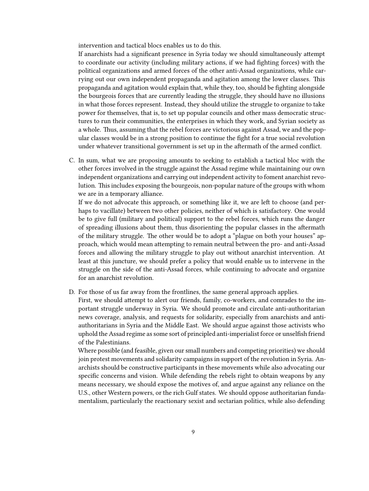intervention and tactical blocs enables us to do this.

If anarchists had a significant presence in Syria today we should simultaneously attempt to coordinate our activity (including military actions, if we had fighting forces) with the political organizations and armed forces of the other anti-Assad organizations, while carrying out our own independent propaganda and agitation among the lower classes. This propaganda and agitation would explain that, while they, too, should be fighting alongside the bourgeois forces that are currently leading the struggle, they should have no illusions in what those forces represent. Instead, they should utilize the struggle to organize to take power for themselves, that is, to set up popular councils and other mass democratic structures to run their communities, the enterprises in which they work, and Syrian society as a whole. Thus, assuming that the rebel forces are victorious against Assad, we and the popular classes would be in a strong position to continue the fight for a true social revolution under whatever transitional government is set up in the aftermath of the armed conflict.

C. In sum, what we are proposing amounts to seeking to establish a tactical bloc with the other forces involved in the struggle against the Assad regime while maintaining our own independent organizations and carrying out independent activity to foment anarchist revolution. This includes exposing the bourgeois, non-popular nature of the groups with whom we are in a temporary alliance.

If we do not advocate this approach, or something like it, we are left to choose (and perhaps to vacillate) between two other policies, neither of which is satisfactory. One would be to give full (military and political) support to the rebel forces, which runs the danger of spreading illusions about them, thus disorienting the popular classes in the aftermath of the military struggle. The other would be to adopt a "plague on both your houses" approach, which would mean attempting to remain neutral between the pro- and anti-Assad forces and allowing the military struggle to play out without anarchist intervention. At least at this juncture, we should prefer a policy that would enable us to intervene in the struggle on the side of the anti-Assad forces, while continuing to advocate and organize for an anarchist revolution.

D. For those of us far away from the frontlines, the same general approach applies.

First, we should attempt to alert our friends, family, co-workers, and comrades to the important struggle underway in Syria. We should promote and circulate anti-authoritarian news coverage, analysis, and requests for solidarity, especially from anarchists and antiauthoritarians in Syria and the Middle East. We should argue against those activists who uphold the Assad regime as some sort of principled anti-imperialist force or unselfish friend of the Palestinians.

Where possible (and feasible, given our small numbers and competing priorities) we should join protest movements and solidarity campaigns in support of the revolution in Syria. Anarchists should be constructive participants in these movements while also advocating our specific concerns and vision. While defending the rebels right to obtain weapons by any means necessary, we should expose the motives of, and argue against any reliance on the U.S., other Western powers, or the rich Gulf states. We should oppose authoritarian fundamentalism, particularly the reactionary sexist and sectarian politics, while also defending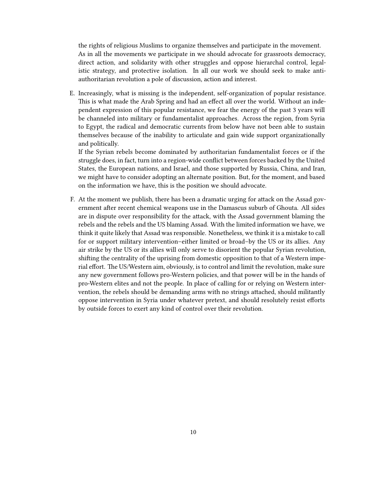the rights of religious Muslims to organize themselves and participate in the movement. As in all the movements we participate in we should advocate for grassroots democracy, direct action, and solidarity with other struggles and oppose hierarchal control, legalistic strategy, and protective isolation. In all our work we should seek to make antiauthoritarian revolution a pole of discussion, action and interest.

E. Increasingly, what is missing is the independent, self-organization of popular resistance. This is what made the Arab Spring and had an effect all over the world. Without an independent expression of this popular resistance, we fear the energy of the past 3 years will be channeled into military or fundamentalist approaches. Across the region, from Syria to Egypt, the radical and democratic currents from below have not been able to sustain themselves because of the inability to articulate and gain wide support organizationally and politically.

If the Syrian rebels become dominated by authoritarian fundamentalist forces or if the struggle does, in fact, turn into a region-wide conflict between forces backed by the United States, the European nations, and Israel, and those supported by Russia, China, and Iran, we might have to consider adopting an alternate position. But, for the moment, and based on the information we have, this is the position we should advocate.

F. At the moment we publish, there has been a dramatic urging for attack on the Assad government after recent chemical weapons use in the Damascus suburb of Ghouta. All sides are in dispute over responsibility for the attack, with the Assad government blaming the rebels and the rebels and the US blaming Assad. With the limited information we have, we think it quite likely that Assad was responsible. Nonetheless, we think it is a mistake to call for or support military intervention–either limited or broad–by the US or its allies. Any air strike by the US or its allies will only serve to disorient the popular Syrian revolution, shifting the centrality of the uprising from domestic opposition to that of a Western imperial effort. The US/Western aim, obviously, is to control and limit the revolution, make sure any new government follows pro-Western policies, and that power will be in the hands of pro-Western elites and not the people. In place of calling for or relying on Western intervention, the rebels should be demanding arms with no strings attached, should militantly oppose intervention in Syria under whatever pretext, and should resolutely resist efforts by outside forces to exert any kind of control over their revolution.